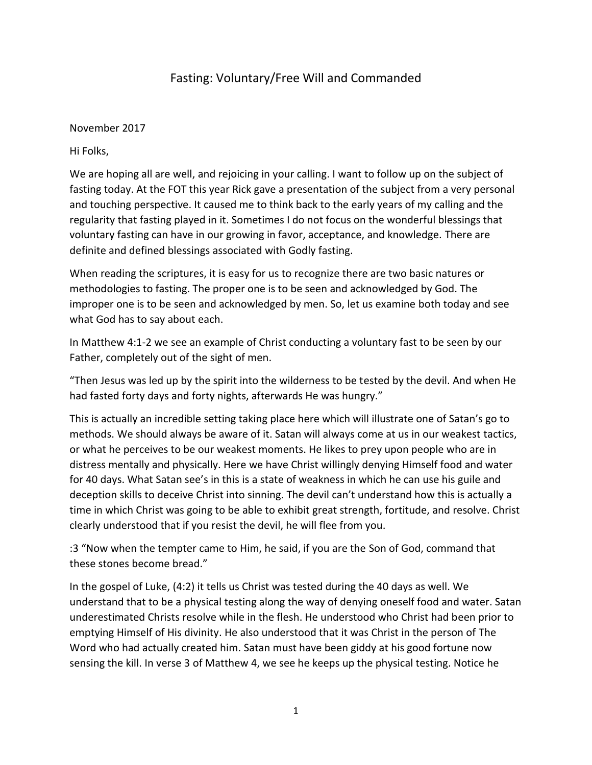## Fasting: Voluntary/Free Will and Commanded

November 2017

Hi Folks,

We are hoping all are well, and rejoicing in your calling. I want to follow up on the subject of fasting today. At the FOT this year Rick gave a presentation of the subject from a very personal and touching perspective. It caused me to think back to the early years of my calling and the regularity that fasting played in it. Sometimes I do not focus on the wonderful blessings that voluntary fasting can have in our growing in favor, acceptance, and knowledge. There are definite and defined blessings associated with Godly fasting.

When reading the scriptures, it is easy for us to recognize there are two basic natures or methodologies to fasting. The proper one is to be seen and acknowledged by God. The improper one is to be seen and acknowledged by men. So, let us examine both today and see what God has to say about each.

In Matthew 4:1-2 we see an example of Christ conducting a voluntary fast to be seen by our Father, completely out of the sight of men.

"Then Jesus was led up by the spirit into the wilderness to be tested by the devil. And when He had fasted forty days and forty nights, afterwards He was hungry."

This is actually an incredible setting taking place here which will illustrate one of Satan's go to methods. We should always be aware of it. Satan will always come at us in our weakest tactics, or what he perceives to be our weakest moments. He likes to prey upon people who are in distress mentally and physically. Here we have Christ willingly denying Himself food and water for 40 days. What Satan see's in this is a state of weakness in which he can use his guile and deception skills to deceive Christ into sinning. The devil can't understand how this is actually a time in which Christ was going to be able to exhibit great strength, fortitude, and resolve. Christ clearly understood that if you resist the devil, he will flee from you.

:3 "Now when the tempter came to Him, he said, if you are the Son of God, command that these stones become bread."

In the gospel of Luke, (4:2) it tells us Christ was tested during the 40 days as well. We understand that to be a physical testing along the way of denying oneself food and water. Satan underestimated Christs resolve while in the flesh. He understood who Christ had been prior to emptying Himself of His divinity. He also understood that it was Christ in the person of The Word who had actually created him. Satan must have been giddy at his good fortune now sensing the kill. In verse 3 of Matthew 4, we see he keeps up the physical testing. Notice he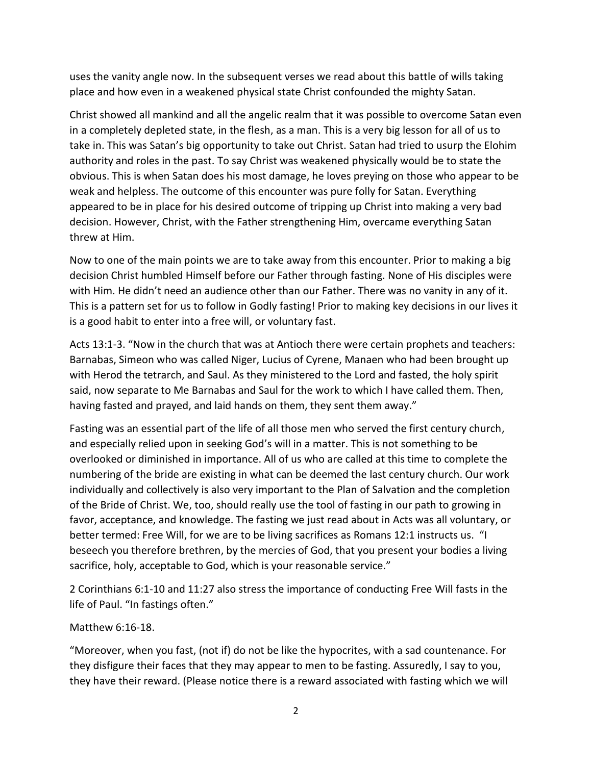uses the vanity angle now. In the subsequent verses we read about this battle of wills taking place and how even in a weakened physical state Christ confounded the mighty Satan.

Christ showed all mankind and all the angelic realm that it was possible to overcome Satan even in a completely depleted state, in the flesh, as a man. This is a very big lesson for all of us to take in. This was Satan's big opportunity to take out Christ. Satan had tried to usurp the Elohim authority and roles in the past. To say Christ was weakened physically would be to state the obvious. This is when Satan does his most damage, he loves preying on those who appear to be weak and helpless. The outcome of this encounter was pure folly for Satan. Everything appeared to be in place for his desired outcome of tripping up Christ into making a very bad decision. However, Christ, with the Father strengthening Him, overcame everything Satan threw at Him.

Now to one of the main points we are to take away from this encounter. Prior to making a big decision Christ humbled Himself before our Father through fasting. None of His disciples were with Him. He didn't need an audience other than our Father. There was no vanity in any of it. This is a pattern set for us to follow in Godly fasting! Prior to making key decisions in our lives it is a good habit to enter into a free will, or voluntary fast.

Acts 13:1-3. "Now in the church that was at Antioch there were certain prophets and teachers: Barnabas, Simeon who was called Niger, Lucius of Cyrene, Manaen who had been brought up with Herod the tetrarch, and Saul. As they ministered to the Lord and fasted, the holy spirit said, now separate to Me Barnabas and Saul for the work to which I have called them. Then, having fasted and prayed, and laid hands on them, they sent them away."

Fasting was an essential part of the life of all those men who served the first century church, and especially relied upon in seeking God's will in a matter. This is not something to be overlooked or diminished in importance. All of us who are called at this time to complete the numbering of the bride are existing in what can be deemed the last century church. Our work individually and collectively is also very important to the Plan of Salvation and the completion of the Bride of Christ. We, too, should really use the tool of fasting in our path to growing in favor, acceptance, and knowledge. The fasting we just read about in Acts was all voluntary, or better termed: Free Will, for we are to be living sacrifices as Romans 12:1 instructs us. "I beseech you therefore brethren, by the mercies of God, that you present your bodies a living sacrifice, holy, acceptable to God, which is your reasonable service."

2 Corinthians 6:1-10 and 11:27 also stress the importance of conducting Free Will fasts in the life of Paul. "In fastings often."

## Matthew 6:16-18.

"Moreover, when you fast, (not if) do not be like the hypocrites, with a sad countenance. For they disfigure their faces that they may appear to men to be fasting. Assuredly, I say to you, they have their reward. (Please notice there is a reward associated with fasting which we will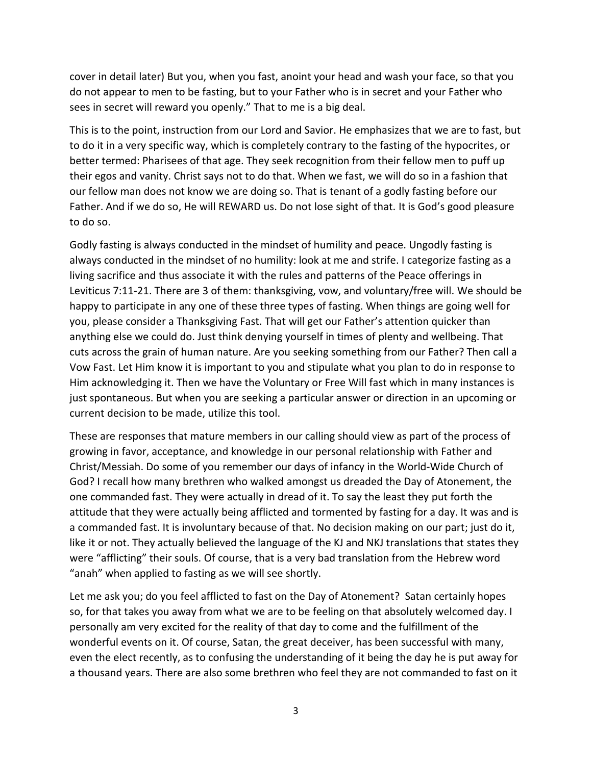cover in detail later) But you, when you fast, anoint your head and wash your face, so that you do not appear to men to be fasting, but to your Father who is in secret and your Father who sees in secret will reward you openly." That to me is a big deal.

This is to the point, instruction from our Lord and Savior. He emphasizes that we are to fast, but to do it in a very specific way, which is completely contrary to the fasting of the hypocrites, or better termed: Pharisees of that age. They seek recognition from their fellow men to puff up their egos and vanity. Christ says not to do that. When we fast, we will do so in a fashion that our fellow man does not know we are doing so. That is tenant of a godly fasting before our Father. And if we do so, He will REWARD us. Do not lose sight of that. It is God's good pleasure to do so.

Godly fasting is always conducted in the mindset of humility and peace. Ungodly fasting is always conducted in the mindset of no humility: look at me and strife. I categorize fasting as a living sacrifice and thus associate it with the rules and patterns of the Peace offerings in Leviticus 7:11-21. There are 3 of them: thanksgiving, vow, and voluntary/free will. We should be happy to participate in any one of these three types of fasting. When things are going well for you, please consider a Thanksgiving Fast. That will get our Father's attention quicker than anything else we could do. Just think denying yourself in times of plenty and wellbeing. That cuts across the grain of human nature. Are you seeking something from our Father? Then call a Vow Fast. Let Him know it is important to you and stipulate what you plan to do in response to Him acknowledging it. Then we have the Voluntary or Free Will fast which in many instances is just spontaneous. But when you are seeking a particular answer or direction in an upcoming or current decision to be made, utilize this tool.

These are responses that mature members in our calling should view as part of the process of growing in favor, acceptance, and knowledge in our personal relationship with Father and Christ/Messiah. Do some of you remember our days of infancy in the World-Wide Church of God? I recall how many brethren who walked amongst us dreaded the Day of Atonement, the one commanded fast. They were actually in dread of it. To say the least they put forth the attitude that they were actually being afflicted and tormented by fasting for a day. It was and is a commanded fast. It is involuntary because of that. No decision making on our part; just do it, like it or not. They actually believed the language of the KJ and NKJ translations that states they were "afflicting" their souls. Of course, that is a very bad translation from the Hebrew word "anah" when applied to fasting as we will see shortly.

Let me ask you; do you feel afflicted to fast on the Day of Atonement? Satan certainly hopes so, for that takes you away from what we are to be feeling on that absolutely welcomed day. I personally am very excited for the reality of that day to come and the fulfillment of the wonderful events on it. Of course, Satan, the great deceiver, has been successful with many, even the elect recently, as to confusing the understanding of it being the day he is put away for a thousand years. There are also some brethren who feel they are not commanded to fast on it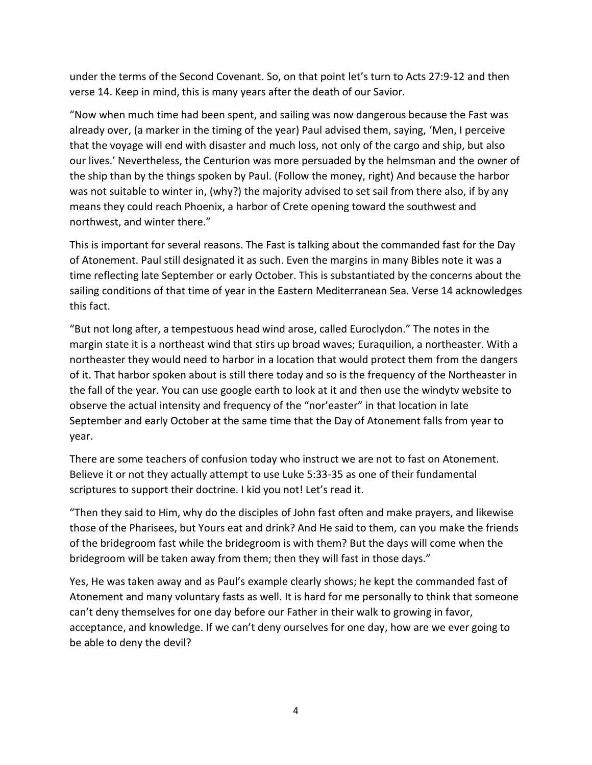under the terms of the Second Covenant. So, on that point let's turn to Acts 27:9-12 and then verse 14. Keep in mind, this is many years after the death of our Savior.

"Now when much time had been spent, and sailing was now dangerous because the Fast was already over, (a marker in the timing of the year) Paul advised them, saying, 'Men, I perceive that the voyage will end with disaster and much loss, not only of the cargo and ship, but also our lives.' Nevertheless, the Centurion was more persuaded by the helmsman and the owner of the ship than by the things spoken by Paul. (Follow the money, right) And because the harbor was not suitable to winter in, (why?) the majority advised to set sail from there also, if by any means they could reach Phoenix, a harbor of Crete opening toward the southwest and northwest, and winter there."

This is important for several reasons. The Fast is talking about the commanded fast for the Day of Atonement. Paul still designated it as such. Even the margins in many Bibles note it was a time reflecting late September or early October. This is substantiated by the concerns about the sailing conditions of that time of year in the Eastern Mediterranean Sea. Verse 14 acknowledges this fact.

"But not long after, a tempestuous head wind arose, called Euroclydon." The notes in the margin state it is a northeast wind that stirs up broad waves; Euraquilion, a northeaster. With a northeaster they would need to harbor in a location that would protect them from the dangers of it. That harbor spoken about is still there today and so is the frequency of the Northeaster in the fall of the year. You can use google earth to look at it and then use the windytv website to observe the actual intensity and frequency of the "nor'easter" in that location in late September and early October at the same time that the Day of Atonement falls from year to year.

There are some teachers of confusion today who instruct we are not to fast on Atonement. Believe it or not they actually attempt to use Luke 5:33-35 as one of their fundamental scriptures to support their doctrine. I kid you not! Let's read it.

"Then they said to Him, why do the disciples of John fast often and make prayers, and likewise those of the Pharisees, but Yours eat and drink? And He said to them, can you make the friends of the bridegroom fast while the bridegroom is with them? But the days will come when the bridegroom will be taken away from them; then they will fast in those days."

Yes, He was taken away and as Paul's example clearly shows; he kept the commanded fast of Atonement and many voluntary fasts as well. It is hard for me personally to think that someone can't deny themselves for one day before our Father in their walk to growing in favor, acceptance, and knowledge. If we can't deny ourselves for one day, how are we ever going to be able to deny the devil?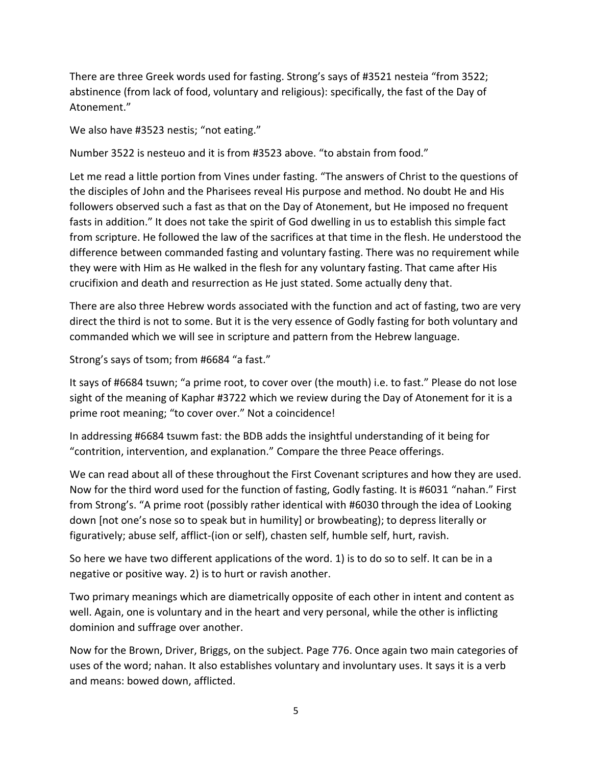There are three Greek words used for fasting. Strong's says of #3521 nesteia "from 3522; abstinence (from lack of food, voluntary and religious): specifically, the fast of the Day of Atonement."

We also have #3523 nestis; "not eating."

Number 3522 is nesteuo and it is from #3523 above. "to abstain from food."

Let me read a little portion from Vines under fasting. "The answers of Christ to the questions of the disciples of John and the Pharisees reveal His purpose and method. No doubt He and His followers observed such a fast as that on the Day of Atonement, but He imposed no frequent fasts in addition." It does not take the spirit of God dwelling in us to establish this simple fact from scripture. He followed the law of the sacrifices at that time in the flesh. He understood the difference between commanded fasting and voluntary fasting. There was no requirement while they were with Him as He walked in the flesh for any voluntary fasting. That came after His crucifixion and death and resurrection as He just stated. Some actually deny that.

There are also three Hebrew words associated with the function and act of fasting, two are very direct the third is not to some. But it is the very essence of Godly fasting for both voluntary and commanded which we will see in scripture and pattern from the Hebrew language.

Strong's says of tsom; from #6684 "a fast."

It says of #6684 tsuwn; "a prime root, to cover over (the mouth) i.e. to fast." Please do not lose sight of the meaning of Kaphar #3722 which we review during the Day of Atonement for it is a prime root meaning; "to cover over." Not a coincidence!

In addressing #6684 tsuwm fast: the BDB adds the insightful understanding of it being for "contrition, intervention, and explanation." Compare the three Peace offerings.

We can read about all of these throughout the First Covenant scriptures and how they are used. Now for the third word used for the function of fasting, Godly fasting. It is #6031 "nahan." First from Strong's. "A prime root (possibly rather identical with #6030 through the idea of Looking down [not one's nose so to speak but in humility] or browbeating); to depress literally or figuratively; abuse self, afflict-(ion or self), chasten self, humble self, hurt, ravish.

So here we have two different applications of the word. 1) is to do so to self. It can be in a negative or positive way. 2) is to hurt or ravish another.

Two primary meanings which are diametrically opposite of each other in intent and content as well. Again, one is voluntary and in the heart and very personal, while the other is inflicting dominion and suffrage over another.

Now for the Brown, Driver, Briggs, on the subject. Page 776. Once again two main categories of uses of the word; nahan. It also establishes voluntary and involuntary uses. It says it is a verb and means: bowed down, afflicted.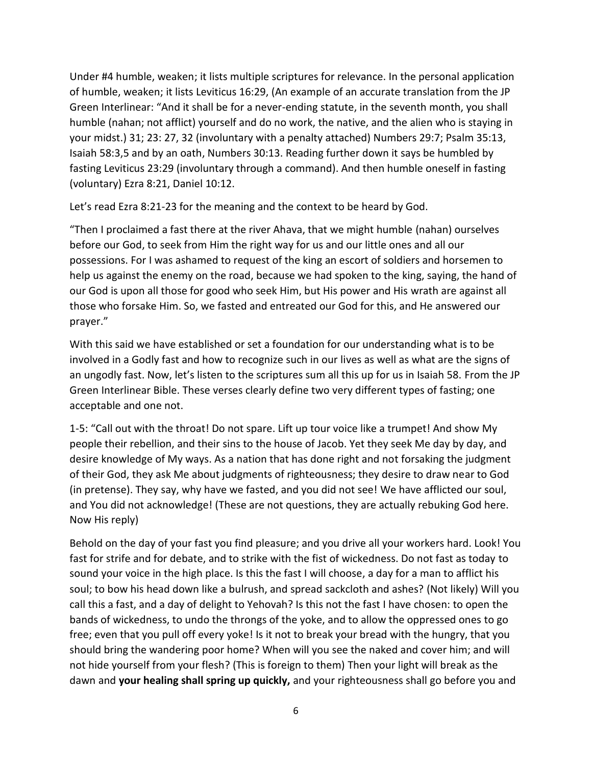Under #4 humble, weaken; it lists multiple scriptures for relevance. In the personal application of humble, weaken; it lists Leviticus 16:29, (An example of an accurate translation from the JP Green Interlinear: "And it shall be for a never-ending statute, in the seventh month, you shall humble (nahan; not afflict) yourself and do no work, the native, and the alien who is staying in your midst.) 31; 23: 27, 32 (involuntary with a penalty attached) Numbers 29:7; Psalm 35:13, Isaiah 58:3,5 and by an oath, Numbers 30:13. Reading further down it says be humbled by fasting Leviticus 23:29 (involuntary through a command). And then humble oneself in fasting (voluntary) Ezra 8:21, Daniel 10:12.

Let's read Ezra 8:21-23 for the meaning and the context to be heard by God.

"Then I proclaimed a fast there at the river Ahava, that we might humble (nahan) ourselves before our God, to seek from Him the right way for us and our little ones and all our possessions. For I was ashamed to request of the king an escort of soldiers and horsemen to help us against the enemy on the road, because we had spoken to the king, saying, the hand of our God is upon all those for good who seek Him, but His power and His wrath are against all those who forsake Him. So, we fasted and entreated our God for this, and He answered our prayer."

With this said we have established or set a foundation for our understanding what is to be involved in a Godly fast and how to recognize such in our lives as well as what are the signs of an ungodly fast. Now, let's listen to the scriptures sum all this up for us in Isaiah 58. From the JP Green Interlinear Bible. These verses clearly define two very different types of fasting; one acceptable and one not.

1-5: "Call out with the throat! Do not spare. Lift up tour voice like a trumpet! And show My people their rebellion, and their sins to the house of Jacob. Yet they seek Me day by day, and desire knowledge of My ways. As a nation that has done right and not forsaking the judgment of their God, they ask Me about judgments of righteousness; they desire to draw near to God (in pretense). They say, why have we fasted, and you did not see! We have afflicted our soul, and You did not acknowledge! (These are not questions, they are actually rebuking God here. Now His reply)

Behold on the day of your fast you find pleasure; and you drive all your workers hard. Look! You fast for strife and for debate, and to strike with the fist of wickedness. Do not fast as today to sound your voice in the high place. Is this the fast I will choose, a day for a man to afflict his soul; to bow his head down like a bulrush, and spread sackcloth and ashes? (Not likely) Will you call this a fast, and a day of delight to Yehovah? Is this not the fast I have chosen: to open the bands of wickedness, to undo the throngs of the yoke, and to allow the oppressed ones to go free; even that you pull off every yoke! Is it not to break your bread with the hungry, that you should bring the wandering poor home? When will you see the naked and cover him; and will not hide yourself from your flesh? (This is foreign to them) Then your light will break as the dawn and **your healing shall spring up quickly,** and your righteousness shall go before you and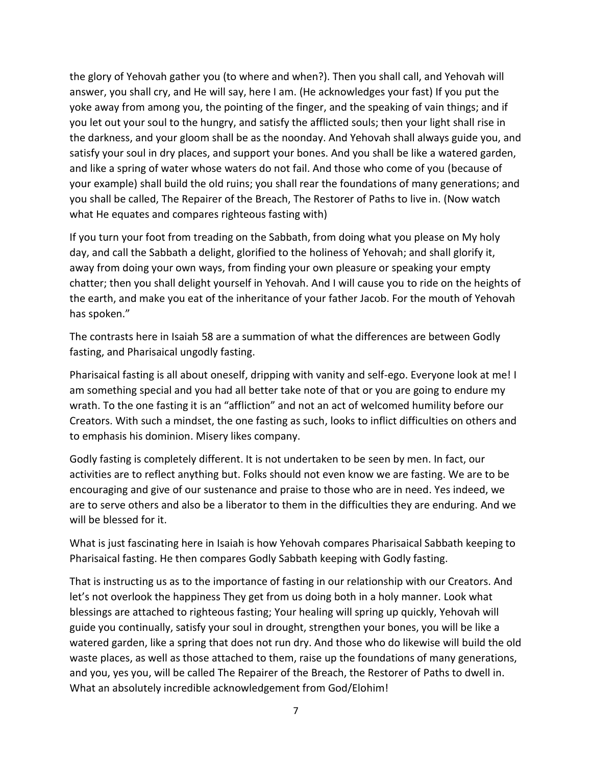the glory of Yehovah gather you (to where and when?). Then you shall call, and Yehovah will answer, you shall cry, and He will say, here I am. (He acknowledges your fast) If you put the yoke away from among you, the pointing of the finger, and the speaking of vain things; and if you let out your soul to the hungry, and satisfy the afflicted souls; then your light shall rise in the darkness, and your gloom shall be as the noonday. And Yehovah shall always guide you, and satisfy your soul in dry places, and support your bones. And you shall be like a watered garden, and like a spring of water whose waters do not fail. And those who come of you (because of your example) shall build the old ruins; you shall rear the foundations of many generations; and you shall be called, The Repairer of the Breach, The Restorer of Paths to live in. (Now watch what He equates and compares righteous fasting with)

If you turn your foot from treading on the Sabbath, from doing what you please on My holy day, and call the Sabbath a delight, glorified to the holiness of Yehovah; and shall glorify it, away from doing your own ways, from finding your own pleasure or speaking your empty chatter; then you shall delight yourself in Yehovah. And I will cause you to ride on the heights of the earth, and make you eat of the inheritance of your father Jacob. For the mouth of Yehovah has spoken."

The contrasts here in Isaiah 58 are a summation of what the differences are between Godly fasting, and Pharisaical ungodly fasting.

Pharisaical fasting is all about oneself, dripping with vanity and self-ego. Everyone look at me! I am something special and you had all better take note of that or you are going to endure my wrath. To the one fasting it is an "affliction" and not an act of welcomed humility before our Creators. With such a mindset, the one fasting as such, looks to inflict difficulties on others and to emphasis his dominion. Misery likes company.

Godly fasting is completely different. It is not undertaken to be seen by men. In fact, our activities are to reflect anything but. Folks should not even know we are fasting. We are to be encouraging and give of our sustenance and praise to those who are in need. Yes indeed, we are to serve others and also be a liberator to them in the difficulties they are enduring. And we will be blessed for it.

What is just fascinating here in Isaiah is how Yehovah compares Pharisaical Sabbath keeping to Pharisaical fasting. He then compares Godly Sabbath keeping with Godly fasting.

That is instructing us as to the importance of fasting in our relationship with our Creators. And let's not overlook the happiness They get from us doing both in a holy manner. Look what blessings are attached to righteous fasting; Your healing will spring up quickly, Yehovah will guide you continually, satisfy your soul in drought, strengthen your bones, you will be like a watered garden, like a spring that does not run dry. And those who do likewise will build the old waste places, as well as those attached to them, raise up the foundations of many generations, and you, yes you, will be called The Repairer of the Breach, the Restorer of Paths to dwell in. What an absolutely incredible acknowledgement from God/Elohim!